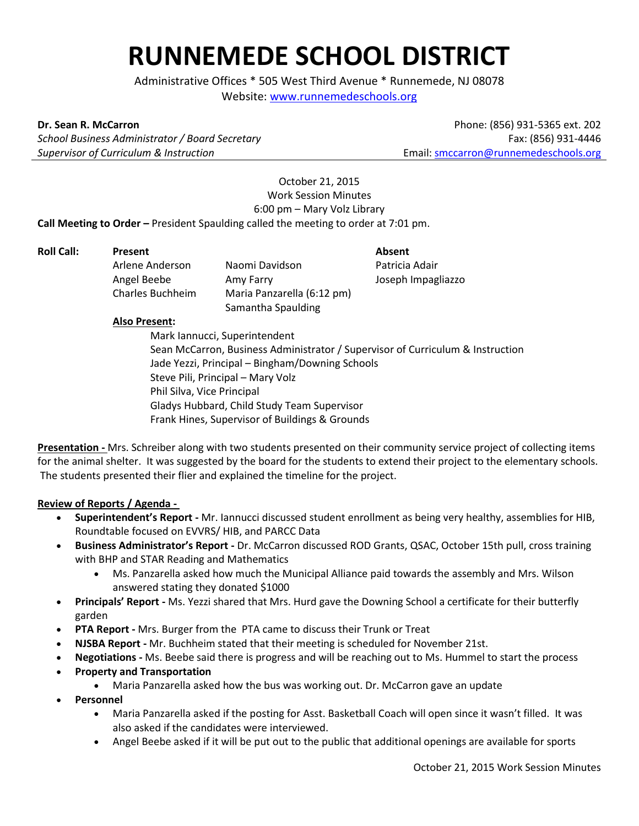## **RUNNEMEDE SCHOOL DISTRICT**

Administrative Offices \* 505 West Third Avenue \* Runnemede, NJ 08078 Website: www.runnemedeschools.org

**Dr. Sean R. McCarron**

*School Business Administrator / Board Secretary Supervisor of Curriculum & Instruction*

Phone: (856) 931-5365 ext. 202 Fax: (856) 931-4446 Email: smccarron@runnemedeschools.org

October 21, 2015 Work Session Minutes 6:00 pm – Mary Volz Library **Call Meeting to Order –** President Spaulding called the meeting to order at 7:01 pm.

**Roll Call: Present Absent** Arlene Anderson Naomi Davidson Patricia Adair Angel Beebe Amy Farry Joseph Impagliazzo Charles Buchheim Maria Panzarella (6:12 pm) Samantha Spaulding

## **Also Present:**

Mark Iannucci, Superintendent Sean McCarron, Business Administrator / Supervisor of Curriculum & Instruction Jade Yezzi, Principal – Bingham/Downing Schools Steve Pili, Principal – Mary Volz Phil Silva, Vice Principal Gladys Hubbard, Child Study Team Supervisor Frank Hines, Supervisor of Buildings & Grounds

**Presentation -** Mrs. Schreiber along with two students presented on their community service project of collecting items for the animal shelter. It was suggested by the board for the students to extend their project to the elementary schools. The students presented their flier and explained the timeline for the project.

## **Review of Reports / Agenda -**

- **Superintendent's Report -** Mr. Iannucci discussed student enrollment as being very healthy, assemblies for HIB, Roundtable focused on EVVRS/ HIB, and PARCC Data
- **Business Administrator's Report -** Dr. McCarron discussed ROD Grants, QSAC, October 15th pull, cross training with BHP and STAR Reading and Mathematics
	- Ms. Panzarella asked how much the Municipal Alliance paid towards the assembly and Mrs. Wilson answered stating they donated \$1000
- **Principals' Report -** Ms. Yezzi shared that Mrs. Hurd gave the Downing School a certificate for their butterfly garden
- **PTA Report -** Mrs. Burger from the PTA came to discuss their Trunk or Treat
- **NJSBA Report -** Mr. Buchheim stated that their meeting is scheduled for November 21st.
- **Negotiations -** Ms. Beebe said there is progress and will be reaching out to Ms. Hummel to start the process
- **Property and Transportation** 
	- Maria Panzarella asked how the bus was working out. Dr. McCarron gave an update
- **Personnel**
	- Maria Panzarella asked if the posting for Asst. Basketball Coach will open since it wasn't filled. It was also asked if the candidates were interviewed.
	- Angel Beebe asked if it will be put out to the public that additional openings are available for sports